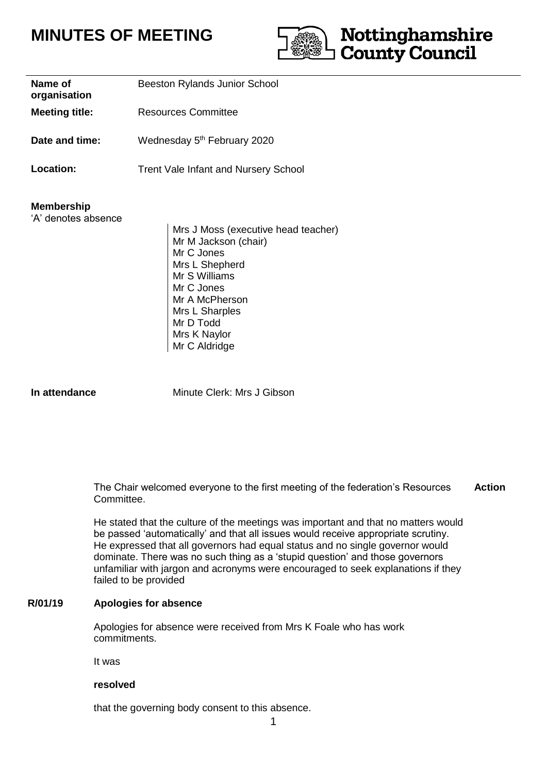# **MINUTES OF MEETING**



| Name of<br>organisation                  | <b>Beeston Rylands Junior School</b><br>Resources Committee                                                                                                                 |  |  |
|------------------------------------------|-----------------------------------------------------------------------------------------------------------------------------------------------------------------------------|--|--|
| <b>Meeting title:</b>                    |                                                                                                                                                                             |  |  |
| Date and time:                           | Wednesday 5 <sup>th</sup> February 2020                                                                                                                                     |  |  |
| <b>Location:</b>                         | <b>Trent Vale Infant and Nursery School</b>                                                                                                                                 |  |  |
| <b>Membership</b><br>'A' denotes absence | Mrs J Moss (executive head teacher)<br>Mr M Jackson (chair)<br>Mr C Jones<br>Mrs L Shepherd<br>Mr S Williams<br>Mr C Jones<br>Mr A McPherson<br>Mrs L Sharples<br>Mr D Todd |  |  |

Mrs K Naylor Mr C Aldridge

**In attendance** Minute Clerk: Mrs J Gibson

The Chair welcomed everyone to the first meeting of the federation's Resources Committee. **Action**

He stated that the culture of the meetings was important and that no matters would be passed 'automatically' and that all issues would receive appropriate scrutiny. He expressed that all governors had equal status and no single governor would dominate. There was no such thing as a 'stupid question' and those governors unfamiliar with jargon and acronyms were encouraged to seek explanations if they failed to be provided

#### **R/01/19 Apologies for absence**

Apologies for absence were received from Mrs K Foale who has work commitments.

It was

#### **resolved**

that the governing body consent to this absence.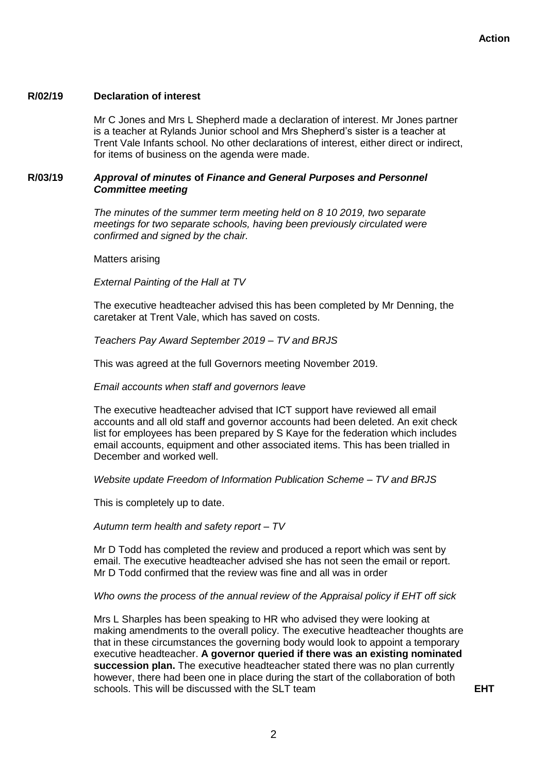# **R/02/19 Declaration of interest**

Mr C Jones and Mrs L Shepherd made a declaration of interest. Mr Jones partner is a teacher at Rylands Junior school and Mrs Shepherd's sister is a teacher at Trent Vale Infants school. No other declarations of interest, either direct or indirect, for items of business on the agenda were made.

# **R/03/19** *Approval of minutes* **of** *Finance and General Purposes and Personnel Committee meeting*

*The minutes of the summer term meeting held on 8 10 2019, two separate meetings for two separate schools, having been previously circulated were confirmed and signed by the chair.*

Matters arising

#### *External Painting of the Hall at TV*

The executive headteacher advised this has been completed by Mr Denning, the caretaker at Trent Vale, which has saved on costs.

#### *Teachers Pay Award September 2019 – TV and BRJS*

This was agreed at the full Governors meeting November 2019.

#### *Email accounts when staff and governors leave*

The executive headteacher advised that ICT support have reviewed all email accounts and all old staff and governor accounts had been deleted. An exit check list for employees has been prepared by S Kaye for the federation which includes email accounts, equipment and other associated items. This has been trialled in December and worked well.

#### *Website update Freedom of Information Publication Scheme – TV and BRJS*

This is completely up to date.

#### *Autumn term health and safety report – TV*

Mr D Todd has completed the review and produced a report which was sent by email. The executive headteacher advised she has not seen the email or report. Mr D Todd confirmed that the review was fine and all was in order

#### *Who owns the process of the annual review of the Appraisal policy if EHT off sick*

Mrs L Sharples has been speaking to HR who advised they were looking at making amendments to the overall policy. The executive headteacher thoughts are that in these circumstances the governing body would look to appoint a temporary executive headteacher. **A governor queried if there was an existing nominated succession plan.** The executive headteacher stated there was no plan currently however, there had been one in place during the start of the collaboration of both schools. This will be discussed with the SLT team **EHT**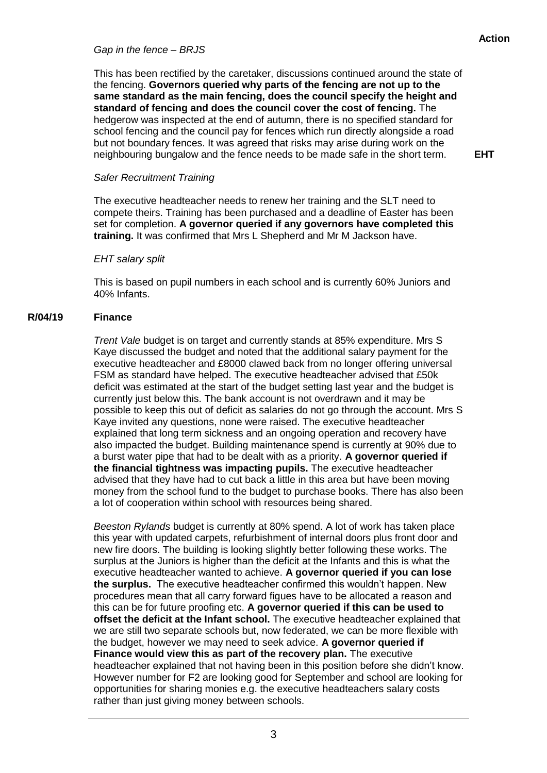# *Gap in the fence – BRJS*

This has been rectified by the caretaker, discussions continued around the state of the fencing. **Governors queried why parts of the fencing are not up to the same standard as the main fencing, does the council specify the height and standard of fencing and does the council cover the cost of fencing.** The hedgerow was inspected at the end of autumn, there is no specified standard for school fencing and the council pay for fences which run directly alongside a road but not boundary fences. It was agreed that risks may arise during work on the neighbouring bungalow and the fence needs to be made safe in the short term.

**EHT**

# *Safer Recruitment Training*

The executive headteacher needs to renew her training and the SLT need to compete theirs. Training has been purchased and a deadline of Easter has been set for completion. **A governor queried if any governors have completed this training.** It was confirmed that Mrs L Shepherd and Mr M Jackson have.

# *EHT salary split*

This is based on pupil numbers in each school and is currently 60% Juniors and 40% Infants.

# **R/04/19 Finance**

*Trent Vale* budget is on target and currently stands at 85% expenditure. Mrs S Kaye discussed the budget and noted that the additional salary payment for the executive headteacher and £8000 clawed back from no longer offering universal FSM as standard have helped. The executive headteacher advised that £50k deficit was estimated at the start of the budget setting last year and the budget is currently just below this. The bank account is not overdrawn and it may be possible to keep this out of deficit as salaries do not go through the account. Mrs S Kaye invited any questions, none were raised. The executive headteacher explained that long term sickness and an ongoing operation and recovery have also impacted the budget. Building maintenance spend is currently at 90% due to a burst water pipe that had to be dealt with as a priority. **A governor queried if the financial tightness was impacting pupils.** The executive headteacher advised that they have had to cut back a little in this area but have been moving money from the school fund to the budget to purchase books. There has also been a lot of cooperation within school with resources being shared.

*Beeston Rylands* budget is currently at 80% spend. A lot of work has taken place this year with updated carpets, refurbishment of internal doors plus front door and new fire doors. The building is looking slightly better following these works. The surplus at the Juniors is higher than the deficit at the Infants and this is what the executive headteacher wanted to achieve. **A governor queried if you can lose the surplus.** The executive headteacher confirmed this wouldn't happen. New procedures mean that all carry forward figues have to be allocated a reason and this can be for future proofing etc. **A governor queried if this can be used to offset the deficit at the Infant school.** The executive headteacher explained that we are still two separate schools but, now federated, we can be more flexible with the budget, however we may need to seek advice. **A governor queried if Finance would view this as part of the recovery plan.** The executive headteacher explained that not having been in this position before she didn't know. However number for F2 are looking good for September and school are looking for opportunities for sharing monies e.g. the executive headteachers salary costs rather than just giving money between schools.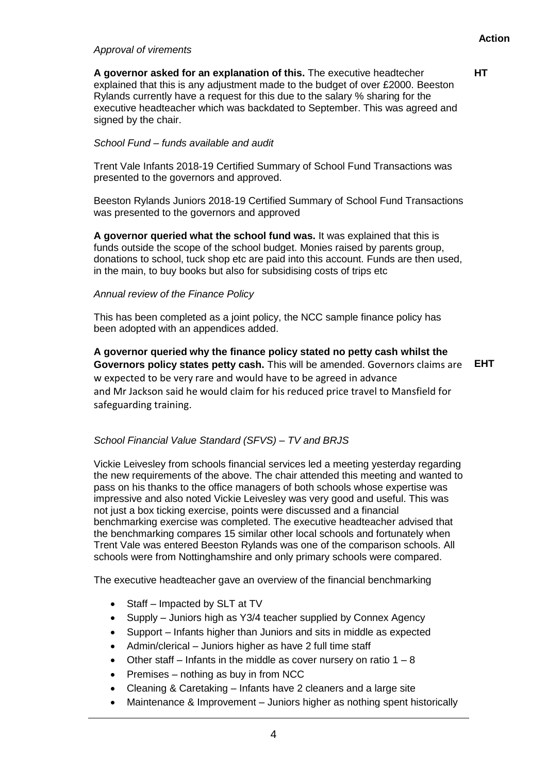# *Approval of virements*

**HT**

**A governor asked for an explanation of this.** The executive headtecher explained that this is any adjustment made to the budget of over £2000. Beeston Rylands currently have a request for this due to the salary % sharing for the executive headteacher which was backdated to September. This was agreed and signed by the chair.

# *School Fund – funds available and audit*

Trent Vale Infants 2018-19 Certified Summary of School Fund Transactions was presented to the governors and approved.

Beeston Rylands Juniors 2018-19 Certified Summary of School Fund Transactions was presented to the governors and approved

**A governor queried what the school fund was.** It was explained that this is funds outside the scope of the school budget. Monies raised by parents group, donations to school, tuck shop etc are paid into this account. Funds are then used, in the main, to buy books but also for subsidising costs of trips etc

# *Annual review of the Finance Policy*

This has been completed as a joint policy, the NCC sample finance policy has been adopted with an appendices added.

**A governor queried why the finance policy stated no petty cash whilst the Governors policy states petty cash.** This will be amended. Governors claims are **EHT**w expected to be very rare and would have to be agreed in advance and Mr Jackson said he would claim for his reduced price travel to Mansfield for safeguarding training.

# *School Financial Value Standard (SFVS) – TV and BRJS*

Vickie Leivesley from schools financial services led a meeting yesterday regarding the new requirements of the above. The chair attended this meeting and wanted to pass on his thanks to the office managers of both schools whose expertise was impressive and also noted Vickie Leivesley was very good and useful. This was not just a box ticking exercise, points were discussed and a financial benchmarking exercise was completed. The executive headteacher advised that the benchmarking compares 15 similar other local schools and fortunately when Trent Vale was entered Beeston Rylands was one of the comparison schools. All schools were from Nottinghamshire and only primary schools were compared.

The executive headteacher gave an overview of the financial benchmarking

- Staff Impacted by SLT at TV
- Supply Juniors high as Y3/4 teacher supplied by Connex Agency
- Support Infants higher than Juniors and sits in middle as expected
- Admin/clerical Juniors higher as have 2 full time staff
- Other staff Infants in the middle as cover nursery on ratio  $1 8$
- $\bullet$  Premises nothing as buy in from NCC
- Cleaning & Caretaking Infants have 2 cleaners and a large site
- Maintenance & Improvement Juniors higher as nothing spent historically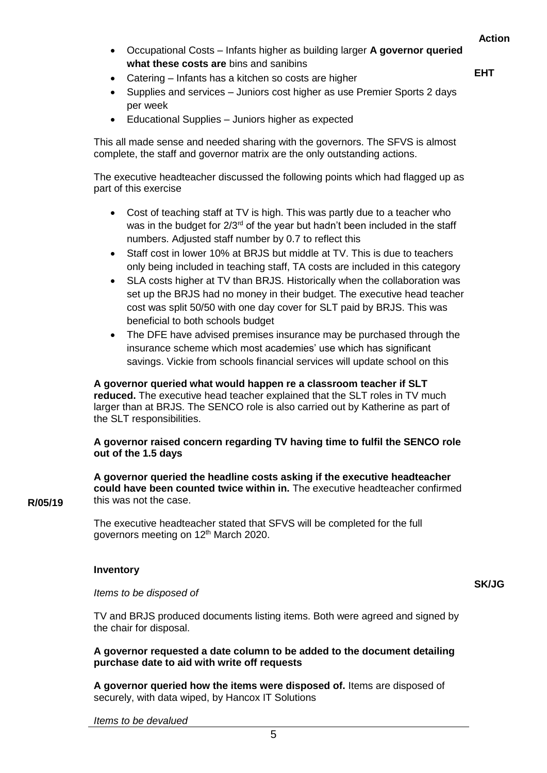- Occupational Costs Infants higher as building larger **A governor queried what these costs are** bins and sanibins
- **EHT**
- Supplies and services Juniors cost higher as use Premier Sports 2 days per week
- Educational Supplies Juniors higher as expected

• Catering – Infants has a kitchen so costs are higher

This all made sense and needed sharing with the governors. The SFVS is almost complete, the staff and governor matrix are the only outstanding actions.

The executive headteacher discussed the following points which had flagged up as part of this exercise

- Cost of teaching staff at TV is high. This was partly due to a teacher who was in the budget for  $2/3^{rd}$  of the year but hadn't been included in the staff numbers. Adjusted staff number by 0.7 to reflect this
- Staff cost in lower 10% at BRJS but middle at TV. This is due to teachers only being included in teaching staff, TA costs are included in this category
- SLA costs higher at TV than BRJS. Historically when the collaboration was set up the BRJS had no money in their budget. The executive head teacher cost was split 50/50 with one day cover for SLT paid by BRJS. This was beneficial to both schools budget
- The DFE have advised premises insurance may be purchased through the insurance scheme which most academies' use which has significant savings. Vickie from schools financial services will update school on this

# **A governor queried what would happen re a classroom teacher if SLT**

**reduced.** The executive head teacher explained that the SLT roles in TV much larger than at BRJS. The SENCO role is also carried out by Katherine as part of the SLT responsibilities.

# **A governor raised concern regarding TV having time to fulfil the SENCO role out of the 1.5 days**

**A governor queried the headline costs asking if the executive headteacher could have been counted twice within in.** The executive headteacher confirmed this was not the case.

The executive headteacher stated that SFVS will be completed for the full governors meeting on 12<sup>th</sup> March 2020.

# **Inventory**

#### *Items to be disposed of*

TV and BRJS produced documents listing items. Both were agreed and signed by the chair for disposal.

# **A governor requested a date column to be added to the document detailing purchase date to aid with write off requests**

**A governor queried how the items were disposed of.** Items are disposed of securely, with data wiped, by Hancox IT Solutions

5

*Items to be devalued*

#### **R/05/19**

**SK/JG**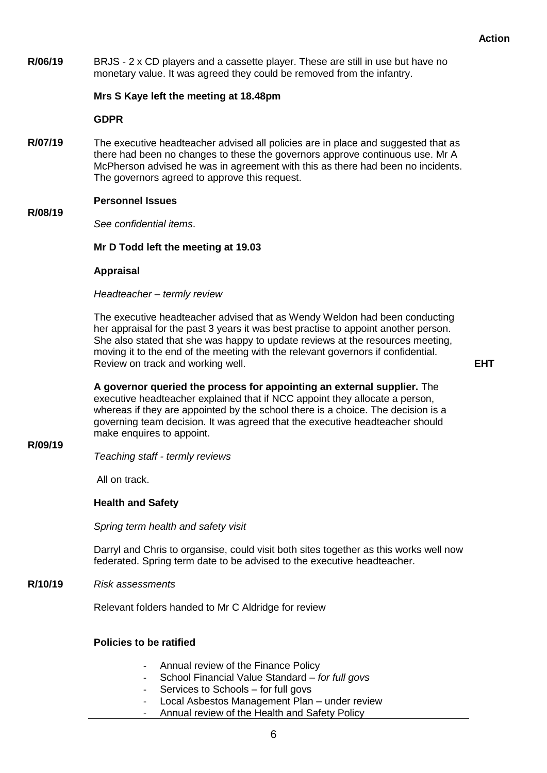**R/06/19** BRJS - 2 x CD players and a cassette player. These are still in use but have no monetary value. It was agreed they could be removed from the infantry.

# **Mrs S Kaye left the meeting at 18.48pm**

**GDPR** 

**R/07/19** The executive headteacher advised all policies are in place and suggested that as there had been no changes to these the governors approve continuous use. Mr A McPherson advised he was in agreement with this as there had been no incidents. The governors agreed to approve this request.

# **Personnel Issues**

*See confidential items*.

# **Mr D Todd left the meeting at 19.03**

**Appraisal**

*Headteacher – termly review*

The executive headteacher advised that as Wendy Weldon had been conducting her appraisal for the past 3 years it was best practise to appoint another person. She also stated that she was happy to update reviews at the resources meeting, moving it to the end of the meeting with the relevant governors if confidential. Review on track and working well.

**EHT**

**A governor queried the process for appointing an external supplier.** The executive headteacher explained that if NCC appoint they allocate a person, whereas if they are appointed by the school there is a choice. The decision is a governing team decision. It was agreed that the executive headteacher should make enquires to appoint.

**R/09/19**

**R/08/19**

*Teaching staff - termly reviews*

All on track.

#### **Health and Safety**

*Spring term health and safety visit*

Darryl and Chris to organsise, could visit both sites together as this works well now federated. Spring term date to be advised to the executive headteacher.

**R/10/19** *Risk assessments*

Relevant folders handed to Mr C Aldridge for review

# **Policies to be ratified**

- Annual review of the Finance Policy
- School Financial Value Standard *– for full govs*
- Services to Schools for full govs
- Local Asbestos Management Plan under review
- Annual review of the Health and Safety Policy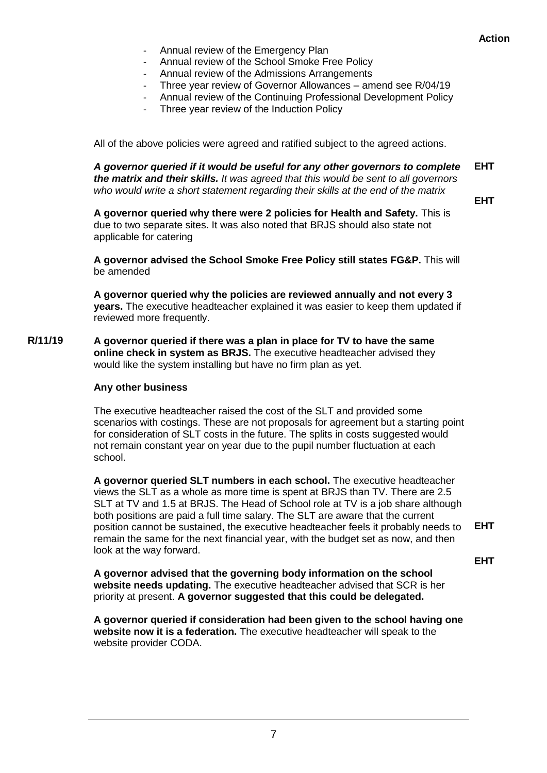- Annual review of the Emergency Plan
- Annual review of the School Smoke Free Policy
- Annual review of the Admissions Arrangements
- Three year review of Governor Allowances amend see R/04/19
- Annual review of the Continuing Professional Development Policy
- Three year review of the Induction Policy

All of the above policies were agreed and ratified subject to the agreed actions.

*A governor queried if it would be useful for any other governors to complete the matrix and their skills. It was agreed that this would be sent to all governors who would write a short statement regarding their skills at the end of the matrix* **EHT**

**EHT**

**A governor queried why there were 2 policies for Health and Safety.** This is due to two separate sites. It was also noted that BRJS should also state not applicable for catering

**A governor advised the School Smoke Free Policy still states FG&P.** This will be amended

**A governor queried why the policies are reviewed annually and not every 3 years.** The executive headteacher explained it was easier to keep them updated if reviewed more frequently.

**R/11/19 A governor queried if there was a plan in place for TV to have the same online check in system as BRJS.** The executive headteacher advised they would like the system installing but have no firm plan as yet.

# **Any other business**

The executive headteacher raised the cost of the SLT and provided some scenarios with costings. These are not proposals for agreement but a starting point for consideration of SLT costs in the future. The splits in costs suggested would not remain constant year on year due to the pupil number fluctuation at each school.

**A governor queried SLT numbers in each school.** The executive headteacher views the SLT as a whole as more time is spent at BRJS than TV. There are 2.5 SLT at TV and 1.5 at BRJS. The Head of School role at TV is a job share although both positions are paid a full time salary. The SLT are aware that the current position cannot be sustained, the executive headteacher feels it probably needs to remain the same for the next financial year, with the budget set as now, and then look at the way forward. **EHT**

**EHT**

**A governor advised that the governing body information on the school website needs updating.** The executive headteacher advised that SCR is her priority at present. **A governor suggested that this could be delegated.**

**A governor queried if consideration had been given to the school having one website now it is a federation.** The executive headteacher will speak to the website provider CODA.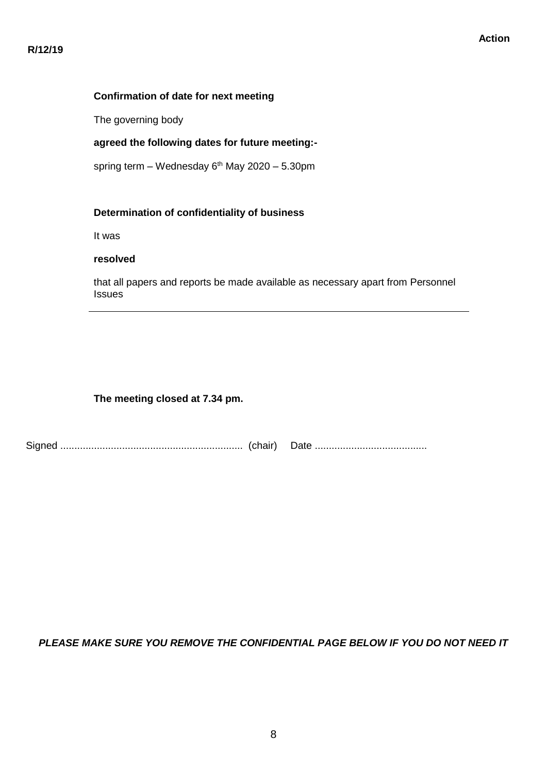# **Confirmation of date for next meeting**

The governing body

# **agreed the following dates for future meeting:-**

spring term – Wednesday  $6<sup>th</sup>$  May 2020 – 5.30pm

# **Determination of confidentiality of business**

It was

# **resolved**

that all papers and reports be made available as necessary apart from Personnel Issues

# **The meeting closed at 7.34 pm.**

|--|--|--|

# *PLEASE MAKE SURE YOU REMOVE THE CONFIDENTIAL PAGE BELOW IF YOU DO NOT NEED IT*